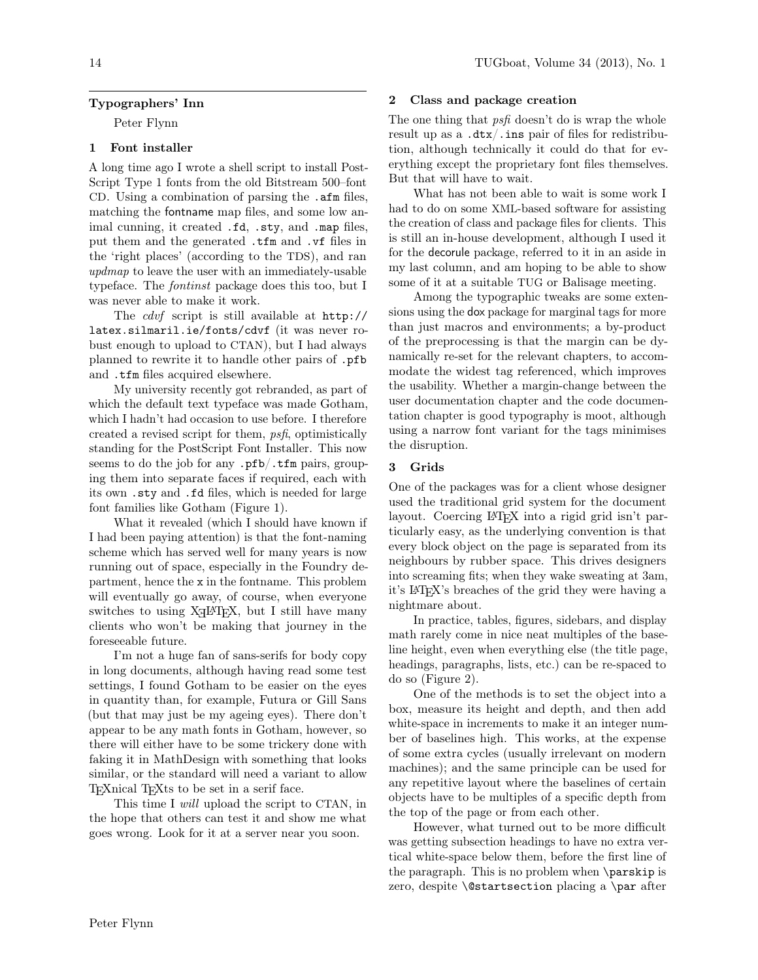# Typographers' Inn

Peter Flynn

## 1 Font installer

A long time ago I wrote a shell script to install Post-Script Type 1 fonts from the old Bitstream 500–font CD. Using a combination of parsing the .afm files, matching the fontname map files, and some low animal cunning, it created .fd, .sty, and .map files, put them and the generated .tfm and .vf files in the 'right places' (according to the TDS), and ran updmap to leave the user with an immediately-usable typeface. The fontinst package does this too, but I was never able to make it work.

The cdvf script is still available at http:// latex.silmaril.ie/fonts/cdvf (it was never robust enough to upload to CTAN), but I had always planned to rewrite it to handle other pairs of .pfb and .tfm files acquired elsewhere.

My university recently got rebranded, as part of which the default text typeface was made Gotham, which I hadn't had occasion to use before. I therefore created a revised script for them, psfi, optimistically standing for the PostScript Font Installer. This now seems to do the job for any .pfb/.tfm pairs, grouping them into separate faces if required, each with its own .sty and .fd files, which is needed for large font families like Gotham (Figure 1).

What it revealed (which I should have known if I had been paying attention) is that the font-naming scheme which has served well for many years is now running out of space, especially in the Foundry department, hence the x in the fontname. This problem will eventually go away, of course, when everyone switches to using  $X \rightarrow Y$ . but I still have many clients who won't be making that journey in the foreseeable future.

I'm not a huge fan of sans-serifs for body copy in long documents, although having read some test settings, I found Gotham to be easier on the eyes in quantity than, for example, Futura or Gill Sans (but that may just be my ageing eyes). There don't appear to be any math fonts in Gotham, however, so there will either have to be some trickery done with faking it in MathDesign with something that looks similar, or the standard will need a variant to allow TEXnical TEXts to be set in a serif face.

This time I will upload the script to CTAN, in the hope that others can test it and show me what goes wrong. Look for it at a server near you soon.

#### 2 Class and package creation

The one thing that *psfi* doesn't do is wrap the whole result up as a  $.dx/.\text{ins pair of files for redistribu-}$ tion, although technically it could do that for everything except the proprietary font files themselves. But that will have to wait.

What has not been able to wait is some work I had to do on some XML-based software for assisting the creation of class and package files for clients. This is still an in-house development, although I used it for the decorule package, referred to it in an aside in my last column, and am hoping to be able to show some of it at a suitable TUG or Balisage meeting.

Among the typographic tweaks are some extensions using the dox package for marginal tags for more than just macros and environments; a by-product of the preprocessing is that the margin can be dynamically re-set for the relevant chapters, to accommodate the widest tag referenced, which improves the usability. Whether a margin-change between the user documentation chapter and the code documentation chapter is good typography is moot, although using a narrow font variant for the tags minimises the disruption.

### 3 Grids

One of the packages was for a client whose designer used the traditional grid system for the document layout. Coercing LATEX into a rigid grid isn't particularly easy, as the underlying convention is that every block object on the page is separated from its neighbours by rubber space. This drives designers into screaming fits; when they wake sweating at 3am, it's LATEX's breaches of the grid they were having a nightmare about.

In practice, tables, figures, sidebars, and display math rarely come in nice neat multiples of the baseline height, even when everything else (the title page, headings, paragraphs, lists, etc.) can be re-spaced to do so (Figure 2).

One of the methods is to set the object into a box, measure its height and depth, and then add white-space in increments to make it an integer number of baselines high. This works, at the expense of some extra cycles (usually irrelevant on modern machines); and the same principle can be used for any repetitive layout where the baselines of certain objects have to be multiples of a specific depth from the top of the page or from each other.

However, what turned out to be more difficult was getting subsection headings to have no extra vertical white-space below them, before the first line of the paragraph. This is no problem when \parskip is zero, despite \@startsection placing a \par after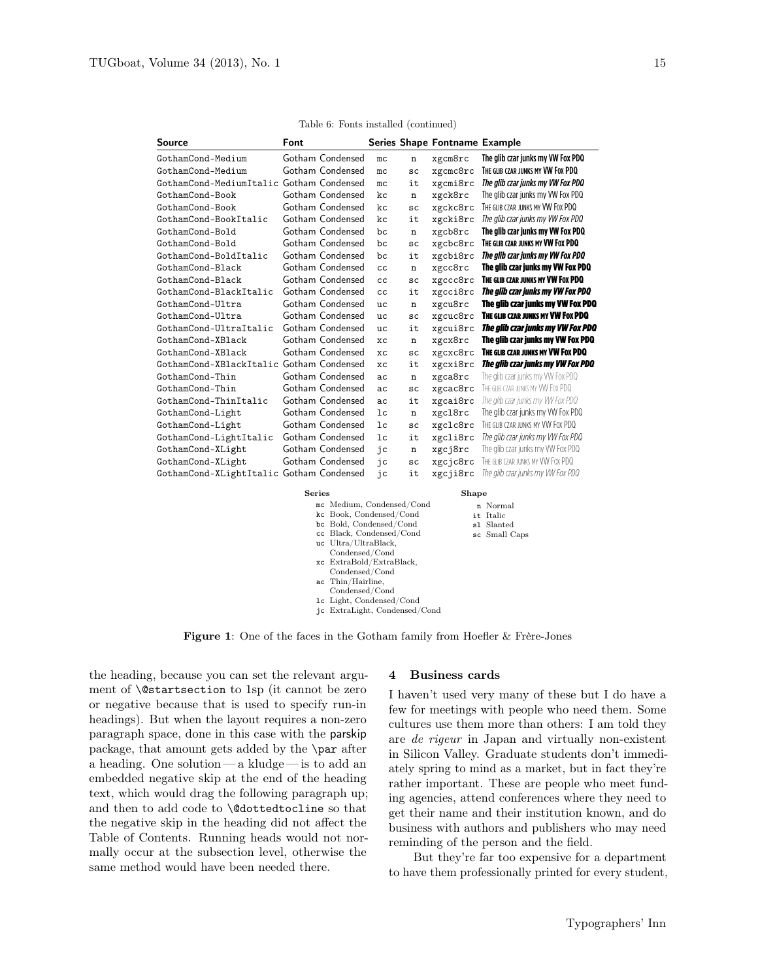| Source                                   | <b>Font</b> |                  |           |    | Series Shape Fontname Example |                                    |
|------------------------------------------|-------------|------------------|-----------|----|-------------------------------|------------------------------------|
| GothamCond-Medium                        |             | Gotham Condensed | mc        | n  | xgcm8rc                       | The glib czar junks my VW Fox PDQ  |
| GothamCond-Medium                        |             | Gotham Condensed | mc        | SC | xgcmc8rc                      | THE GLIB CZAR JUNKS MY VW FOX PDQ  |
| GothamCond-MediumItalic Gotham Condensed |             |                  | mc        | it | xgcmi8rc                      | The glib czar junks my VW Fox PDQ  |
| GothamCond-Book                          |             | Gotham Condensed | kc        | n  | xgck8rc                       | The glib czar junks my VW Fox PDQ  |
| GothamCond-Book                          |             | Gotham Condensed | kc        | SC | xgckc8rc                      | THE GLIB CZAR JUNKS MY VW FOX PDQ  |
| GothamCond-BookItalic                    |             | Gotham Condensed | kc        | it | xgcki8rc                      | The glib czar junks my VW Fox PDQ  |
| GothamCond-Bold                          |             | Gotham Condensed | hc        | n  | xgcb8rc                       | The glib czar junks my VW Fox PDQ  |
| GothamCond-Bold                          |             | Gotham Condensed | bc        | SC | xgcbc8rc                      | THE GLIB CZAR JUNKS MY VW FOX PDQ  |
| GothamCond-BoldItalic                    |             | Gotham Condensed | bc        | it | xgcbi8rc                      | The glib czar junks my VW Fox PDQ  |
| GothamCond-Black                         |             | Gotham Condensed | cc        | n  | xgcc8rc                       | The glib czar junks my VW Fox PDQ  |
| GothamCond-Black                         |             | Gotham Condensed | cc        | SC | xgccc8rc                      | THE GLIB CZAR JUNKS MY VW FOX PDQ  |
| GothamCond-BlackItalic                   |             | Gotham Condensed | cc        | it | xgcci8rc                      | The glib czar junks my VW Fox PDQ  |
| GothamCond-Ultra                         |             | Gotham Condensed | uc        | n  | xgcu8rc                       | The glib czar junks my VW Fox PDQ  |
| GothamCond-Ultra                         |             | Gotham Condensed | uc        | SC | xgcuc8rc                      | THE GLIB CZAR JUNKS MY VW FOX PDQ  |
| GothamCond-UltraItalic                   |             | Gotham Condensed | uc        | it | xgcui8rc                      | The glib czar junks my VW Fox PDQ  |
| GothamCond-XBlack                        |             | Gotham Condensed | хc        | n  | xgcx8rc                       | The glib czar junks my VW Fox PDQ  |
| GothamCond-XBlack                        |             | Gotham Condensed | хc        | SC | xgcxc8rc                      | THE GLIB CZAR JUNKS MY VW FOX PDQ  |
| GothamCond-XBlackItalic Gotham Condensed |             |                  | <b>XC</b> | it | xgcxi8rc                      | The glib czar junks my VW Fox PDQ  |
| GothamCond-Thin                          |             | Gotham Condensed | ac        | n  | xgca8rc                       | The glib czar junks my VW Fox PDQ  |
| GothamCond-Thin                          |             | Gotham Condensed | ac        | SC | xgcac8rc                      | THE GLIR CZAR ILINKS MY VW FOX PDO |
| GothamCond-ThinItalic                    |             | Gotham Condensed | ac        | it | xgcai8rc                      | The glib czar junks my VW Fox PDQ  |
| GothamCond-Light                         |             | Gotham Condensed | 1c        | n  | xgc18rc                       | The glib czar junks my VW Fox PDQ  |
| GothamCond-Light                         |             | Gotham Condensed | 1c        | SC | xgclc8rc                      | THE GLIB CZAR JUNKS MY VW FOX PDQ  |
| GothamCond-LightItalic                   |             | Gotham Condensed | 1c        | it | xgcli8rc                      | The glib czar junks my VW Fox PDQ  |
| GothamCond-XLight                        |             | Gotham Condensed | jc        | n  | xgcj8rc                       | The glib czar junks my VW Fox PDQ  |
| GothamCond-XLight                        |             | Gotham Condensed | jc        | SC | xgcjc8rc                      | THE GLIB CZAR JUNKS MY VW FOX PDQ  |
| GothamCond-XLightItalic                  |             | Gotham Condensed | jc        | it | xgcji8rc                      | The glib czar junks my VW Fox PDQ  |

Table 6: Fonts installed (continued)

| ries |                               | Shape         |  |  |
|------|-------------------------------|---------------|--|--|
|      | mc Medium, Condensed/Cond     | n Normal      |  |  |
|      | kc Book, Condensed/Cond       | it Italic     |  |  |
|      | bc Bold, Condensed/Cond       | s1 Slanted    |  |  |
|      | cc Black, Condensed/Cond      | sc Small Caps |  |  |
|      | uc Ultra/UltraBlack,          |               |  |  |
|      | Condensed/Cond                |               |  |  |
|      | xc ExtraBold/ExtraBlack,      |               |  |  |
|      | Condensed/Cond                |               |  |  |
|      | ac Thin/Hairline,             |               |  |  |
|      | Condensed/Cond                |               |  |  |
|      | 1c Light, Condensed/Cond      |               |  |  |
|      | jc ExtraLight, Condensed/Cond |               |  |  |
|      |                               |               |  |  |

Figure 1: One of the faces in the Gotham family from Hoefler & Frère-Jones

 $S<sub>el</sub>$ 

the heading, because you can set the relevant argument of \@startsection to 1sp (it cannot be zero or negative because that is used to specify run-in headings). But when the layout requires a non-zero paragraph space, done in this case with the parskip package, that amount gets added by the \par after a heading. One solution— a kludge— is to add an embedded negative skip at the end of the heading text, which would drag the following paragraph up; and then to add code to **\@dottedtocline** so that the negative skip in the heading did not affect the Table of Contents. Running heads would not normally occur at the subsection level, otherwise the same method would have been needed there.

#### 4 Business cards

I haven't used very many of these but I do have a few for meetings with people who need them. Some cultures use them more than others: I am told they are de rigeur in Japan and virtually non-existent in Silicon Valley. Graduate students don't immediately spring to mind as a market, but in fact they're rather important. These are people who meet funding agencies, attend conferences where they need to get their name and their institution known, and do business with authors and publishers who may need reminding of the person and the field.

But they're far too expensive for a department to have them professionally printed for every student,